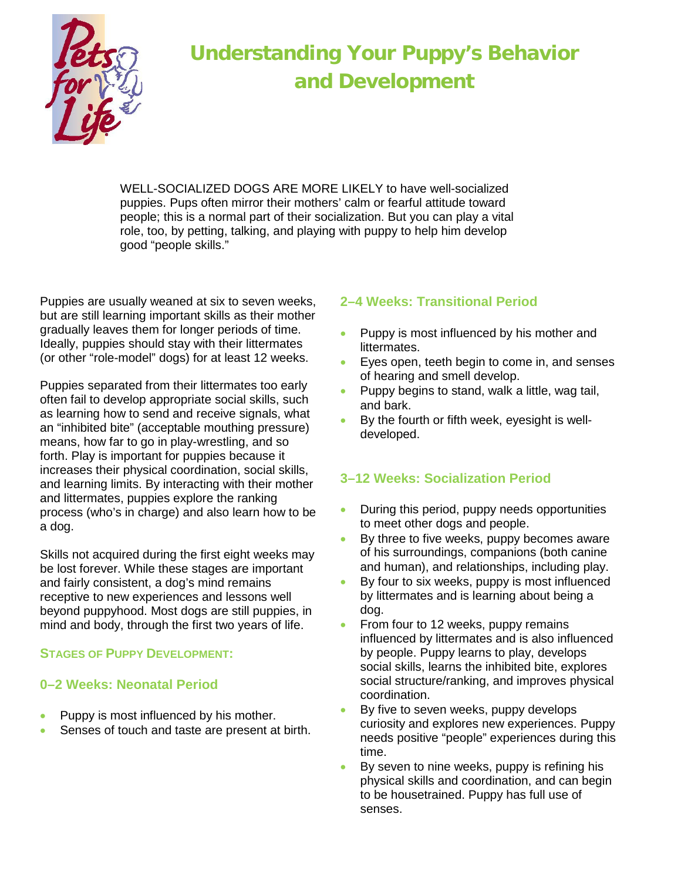

# **Understanding Your Puppy's Behavior and Development**

WELL-SOCIALIZED DOGS ARE MORE LIKELY to have well-socialized puppies. Pups often mirror their mothers' calm or fearful attitude toward people; this is a normal part of their socialization. But you can play a vital role, too, by petting, talking, and playing with puppy to help him develop good "people skills."

Puppies are usually weaned at six to seven weeks, but are still learning important skills as their mother gradually leaves them for longer periods of time. Ideally, puppies should stay with their littermates (or other "role-model" dogs) for at least 12 weeks.

Puppies separated from their littermates too early often fail to develop appropriate social skills, such as learning how to send and receive signals, what an "inhibited bite" (acceptable mouthing pressure) means, how far to go in play-wrestling, and so forth. Play is important for puppies because it increases their physical coordination, social skills, and learning limits. By interacting with their mother and littermates, puppies explore the ranking process (who's in charge) and also learn how to be a dog.

Skills not acquired during the first eight weeks may be lost forever. While these stages are important and fairly consistent, a dog's mind remains receptive to new experiences and lessons well beyond puppyhood. Most dogs are still puppies, in mind and body, through the first two years of life.

#### **STAGES OF PUPPY DEVELOPMENT:**

#### **0–2 Weeks: Neonatal Period**

- Puppy is most influenced by his mother.
- Senses of touch and taste are present at birth.

## **2–4 Weeks: Transitional Period**

- Puppy is most influenced by his mother and littermates.
- Eyes open, teeth begin to come in, and senses of hearing and smell develop.
- Puppy begins to stand, walk a little, wag tail, and bark.
- By the fourth or fifth week, eyesight is welldeveloped.

## **3–12 Weeks: Socialization Period**

- During this period, puppy needs opportunities to meet other dogs and people.
- By three to five weeks, puppy becomes aware of his surroundings, companions (both canine and human), and relationships, including play.
- By four to six weeks, puppy is most influenced by littermates and is learning about being a dog.
- From four to 12 weeks, puppy remains influenced by littermates and is also influenced by people. Puppy learns to play, develops social skills, learns the inhibited bite, explores social structure/ranking, and improves physical coordination.
- By five to seven weeks, puppy develops curiosity and explores new experiences. Puppy needs positive "people" experiences during this time.
- By seven to nine weeks, puppy is refining his physical skills and coordination, and can begin to be housetrained. Puppy has full use of senses.